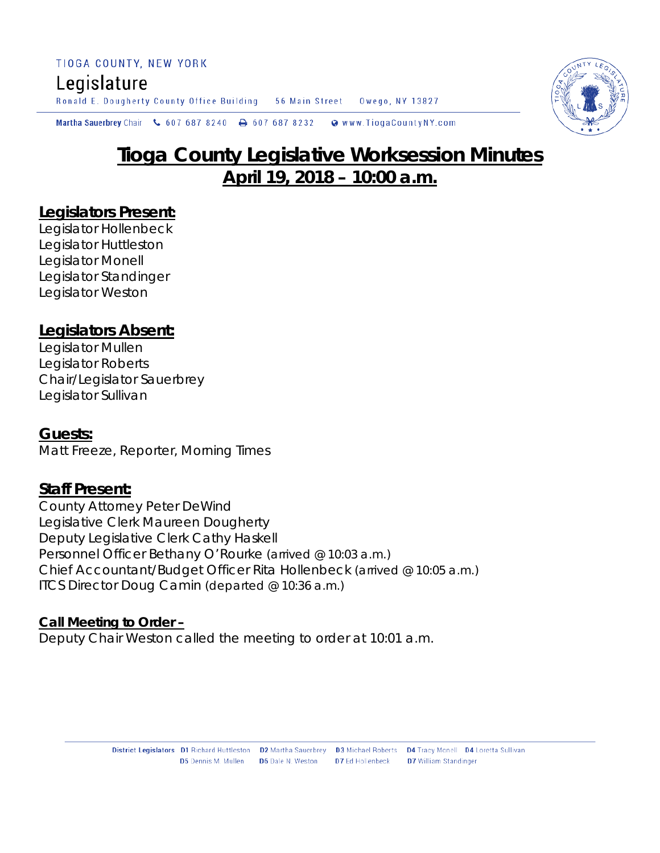TIOGA COUNTY, NEW YORK Legislature

Ronald E. Dougherty County Office Building 56 Main Street Owego, NY 13827

Martha Sauerbrey Chair & 607 687 8240 **a** 607 687 8232 Www.TiogaCountyNY.com

# **Tioga County Legislative Worksession Minutes April 19, 2018 – 10:00 a.m.**

# **Legislators Present:**

Legislator Hollenbeck Legislator Huttleston Legislator Monell Legislator Standinger Legislator Weston

# **Legislators Absent:**

Legislator Mullen Legislator Roberts Chair/Legislator Sauerbrey Legislator Sullivan

### **Guests:**

Matt Freeze, Reporter, Morning Times

# **Staff Present:**

County Attorney Peter DeWind Legislative Clerk Maureen Dougherty Deputy Legislative Clerk Cathy Haskell Personnel Officer Bethany O'Rourke *(arrived @ 10:03 a.m.)* Chief Accountant/Budget Officer Rita Hollenbeck *(arrived @ 10:05 a.m.)* ITCS Director Doug Camin *(departed @ 10:36 a.m.)*

#### **Call Meeting to Order –**

Deputy Chair Weston called the meeting to order at 10:01 a.m.

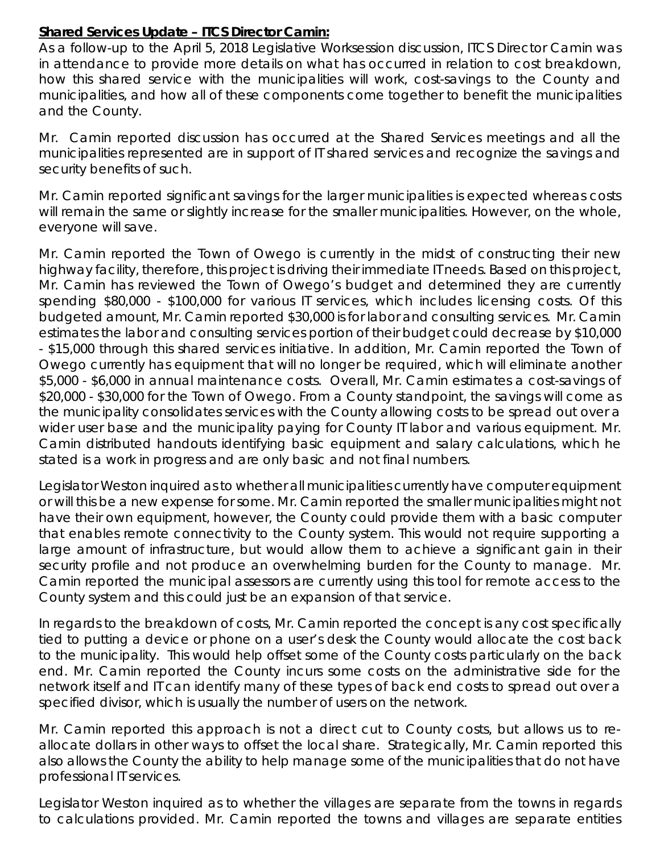### **Shared Services Update – ITCS Director Camin:**

As a follow-up to the April 5, 2018 Legislative Worksession discussion, ITCS Director Camin was in attendance to provide more details on what has occurred in relation to cost breakdown, how this shared service with the municipalities will work, cost-savings to the County and municipalities, and how all of these components come together to benefit the municipalities and the County.

Mr. Camin reported discussion has occurred at the Shared Services meetings and all the municipalities represented are in support of IT shared services and recognize the savings and security benefits of such.

Mr. Camin reported significant savings for the larger municipalities is expected whereas costs will remain the same or slightly increase for the smaller municipalities. However, on the whole, everyone will save.

Mr. Camin reported the Town of Owego is currently in the midst of constructing their new highway facility, therefore, this project is driving their immediate IT needs. Based on this project, Mr. Camin has reviewed the Town of Owego's budget and determined they are currently spending \$80,000 - \$100,000 for various IT services, which includes licensing costs. Of this budgeted amount, Mr. Camin reported \$30,000 is for labor and consulting services. Mr. Camin estimates the labor and consulting services portion of their budget could decrease by \$10,000 - \$15,000 through this shared services initiative. In addition, Mr. Camin reported the Town of Owego currently has equipment that will no longer be required, which will eliminate another \$5,000 - \$6,000 in annual maintenance costs. Overall, Mr. Camin estimates a cost-savings of \$20,000 - \$30,000 for the Town of Owego. From a County standpoint, the savings will come as the municipality consolidates services with the County allowing costs to be spread out over a wider user base and the municipality paying for County IT labor and various equipment. Mr. Camin distributed handouts identifying basic equipment and salary calculations, which he stated is a work in progress and are only basic and not final numbers.

Legislator Weston inquired as to whether all municipalities currently have computer equipment or will this be a new expense for some. Mr. Camin reported the smaller municipalities might not have their own equipment, however, the County could provide them with a basic computer that enables remote connectivity to the County system. This would not require supporting a large amount of infrastructure, but would allow them to achieve a significant gain in their security profile and not produce an overwhelming burden for the County to manage. Mr. Camin reported the municipal assessors are currently using this tool for remote access to the County system and this could just be an expansion of that service.

In regards to the breakdown of costs, Mr. Camin reported the concept is any cost specifically tied to putting a device or phone on a user's desk the County would allocate the cost back to the municipality. This would help offset some of the County costs particularly on the back end. Mr. Camin reported the County incurs some costs on the administrative side for the network itself and IT can identify many of these types of back end costs to spread out over a specified divisor, which is usually the number of users on the network.

Mr. Camin reported this approach is not a direct cut to County costs, but allows us to reallocate dollars in other ways to offset the local share. Strategically, Mr. Camin reported this also allows the County the ability to help manage some of the municipalities that do not have professional IT services.

Legislator Weston inquired as to whether the villages are separate from the towns in regards to calculations provided. Mr. Camin reported the towns and villages are separate entities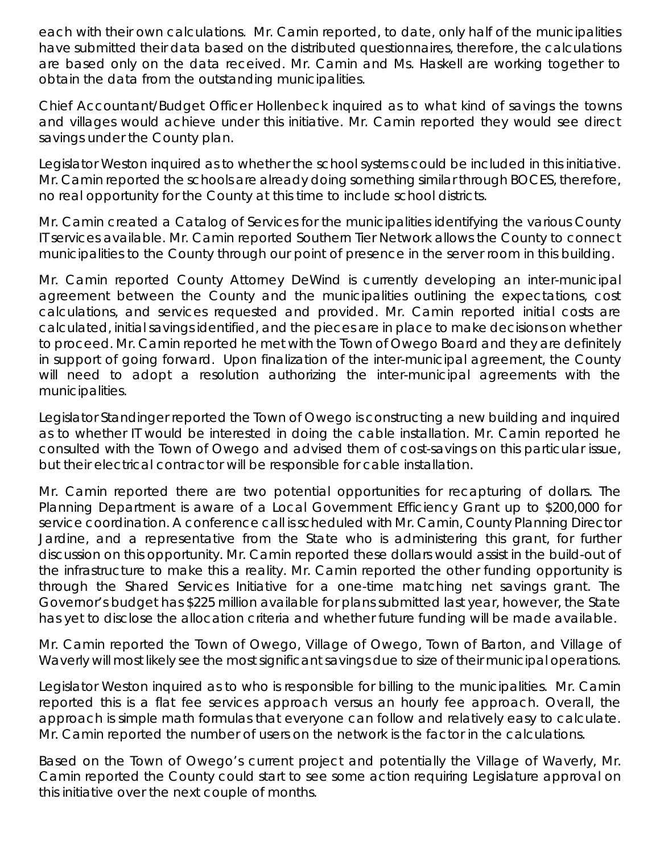each with their own calculations. Mr. Camin reported, to date, only half of the municipalities have submitted their data based on the distributed questionnaires, therefore, the calculations are based only on the data received. Mr. Camin and Ms. Haskell are working together to obtain the data from the outstanding municipalities.

Chief Accountant/Budget Officer Hollenbeck inquired as to what kind of savings the towns and villages would achieve under this initiative. Mr. Camin reported they would see direct savings under the County plan.

Legislator Weston inquired as to whether the school systems could be included in this initiative. Mr. Camin reported the schools are already doing something similar through BOCES, therefore, no real opportunity for the County at this time to include school districts.

Mr. Camin created a Catalog of Services for the municipalities identifying the various County IT services available. Mr. Camin reported Southern Tier Network allows the County to connect municipalities to the County through our point of presence in the server room in this building.

Mr. Camin reported County Attorney DeWind is currently developing an inter-municipal agreement between the County and the municipalities outlining the expectations, cost calculations, and services requested and provided. Mr. Camin reported initial costs are calculated, initial savings identified, and the pieces are in place to make decisions on whether to proceed. Mr. Camin reported he met with the Town of Owego Board and they are definitely in support of going forward. Upon finalization of the inter-municipal agreement, the County will need to adopt a resolution authorizing the inter-municipal agreements with the municipalities.

Legislator Standinger reported the Town of Owego is constructing a new building and inquired as to whether IT would be interested in doing the cable installation. Mr. Camin reported he consulted with the Town of Owego and advised them of cost-savings on this particular issue, but their electrical contractor will be responsible for cable installation.

Mr. Camin reported there are two potential opportunities for recapturing of dollars. The Planning Department is aware of a Local Government Efficiency Grant up to \$200,000 for service coordination. A conference call is scheduled with Mr. Camin, County Planning Director Jardine, and a representative from the State who is administering this grant, for further discussion on this opportunity. Mr. Camin reported these dollars would assist in the build-out of the infrastructure to make this a reality. Mr. Camin reported the other funding opportunity is through the Shared Services Initiative for a one-time matching net savings grant. The Governor's budget has \$225 million available for plans submitted last year, however, the State has yet to disclose the allocation criteria and whether future funding will be made available.

Mr. Camin reported the Town of Owego, Village of Owego, Town of Barton, and Village of Waverly will most likely see the most significant savings due to size of their municipal operations.

Legislator Weston inquired as to who is responsible for billing to the municipalities. Mr. Camin reported this is a flat fee services approach versus an hourly fee approach. Overall, the approach is simple math formulas that everyone can follow and relatively easy to calculate. Mr. Camin reported the number of users on the network is the factor in the calculations.

Based on the Town of Owego's current project and potentially the Village of Waverly, Mr. Camin reported the County could start to see some action requiring Legislature approval on this initiative over the next couple of months.